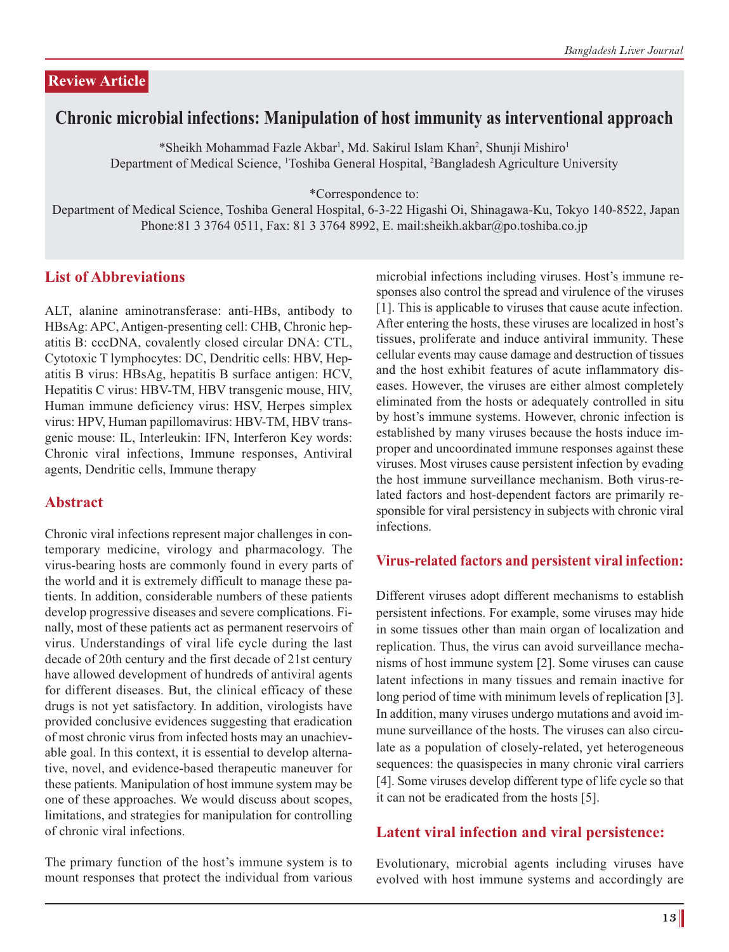# **Review Article**

# **Chronic microbial infections: Manipulation of host immunity as interventional approach**

\*Sheikh Mohammad Fazle Akbar<sup>1</sup>, Md. Sakirul Islam Khan<sup>2</sup>, Shunji Mishiro<sup>1</sup> Department of Medical Science, <sup>1</sup>Toshiba General Hospital, <sup>2</sup>Bangladesh Agriculture University

\*Correspondence to:

Department of Medical Science, Toshiba General Hospital, 6-3-22 Higashi Oi, Shinagawa-Ku, Tokyo 140-8522, Japan Phone:81 3 3764 0511, Fax: 81 3 3764 8992, E. mail:sheikh.akbar@po.toshiba.co.jp

## **List of Abbreviations**

ALT, alanine aminotransferase: anti-HBs, antibody to HBsAg: APC, Antigen-presenting cell: CHB, Chronic hepatitis B: cccDNA, covalently closed circular DNA: CTL, Cytotoxic T lymphocytes: DC, Dendritic cells: HBV, Hepatitis B virus: HBsAg, hepatitis B surface antigen: HCV, Hepatitis C virus: HBV-TM, HBV transgenic mouse, HIV, Human immune deficiency virus: HSV, Herpes simplex virus: HPV, Human papillomavirus: HBV-TM, HBV transgenic mouse: IL, Interleukin: IFN, Interferon Key words: Chronic viral infections, Immune responses, Antiviral agents, Dendritic cells, Immune therapy

## **Abstract**

Chronic viral infections represent major challenges in contemporary medicine, virology and pharmacology. The virus-bearing hosts are commonly found in every parts of the world and it is extremely difficult to manage these patients. In addition, considerable numbers of these patients develop progressive diseases and severe complications. Finally, most of these patients act as permanent reservoirs of virus. Understandings of viral life cycle during the last decade of 20th century and the first decade of 21st century have allowed development of hundreds of antiviral agents for different diseases. But, the clinical efficacy of these drugs is not yet satisfactory. In addition, virologists have provided conclusive evidences suggesting that eradication of most chronic virus from infected hosts may an unachievable goal. In this context, it is essential to develop alternative, novel, and evidence-based therapeutic maneuver for these patients. Manipulation of host immune system may be one of these approaches. We would discuss about scopes, limitations, and strategies for manipulation for controlling of chronic viral infections.

The primary function of the host's immune system is to mount responses that protect the individual from various microbial infections including viruses. Host's immune responses also control the spread and virulence of the viruses [1]. This is applicable to viruses that cause acute infection. After entering the hosts, these viruses are localized in host's tissues, proliferate and induce antiviral immunity. These cellular events may cause damage and destruction of tissues and the host exhibit features of acute inflammatory diseases. However, the viruses are either almost completely eliminated from the hosts or adequately controlled in situ by host's immune systems. However, chronic infection is established by many viruses because the hosts induce improper and uncoordinated immune responses against these viruses. Most viruses cause persistent infection by evading the host immune surveillance mechanism. Both virus-related factors and host-dependent factors are primarily responsible for viral persistency in subjects with chronic viral infections.

## **Virus-related factors and persistent viral infection:**

Different viruses adopt different mechanisms to establish persistent infections. For example, some viruses may hide in some tissues other than main organ of localization and replication. Thus, the virus can avoid surveillance mechanisms of host immune system [2]. Some viruses can cause latent infections in many tissues and remain inactive for long period of time with minimum levels of replication [3]. In addition, many viruses undergo mutations and avoid immune surveillance of the hosts. The viruses can also circulate as a population of closely-related, yet heterogeneous sequences: the quasispecies in many chronic viral carriers [4]. Some viruses develop different type of life cycle so that it can not be eradicated from the hosts [5].

#### **Latent viral infection and viral persistence:**

Evolutionary, microbial agents including viruses have evolved with host immune systems and accordingly are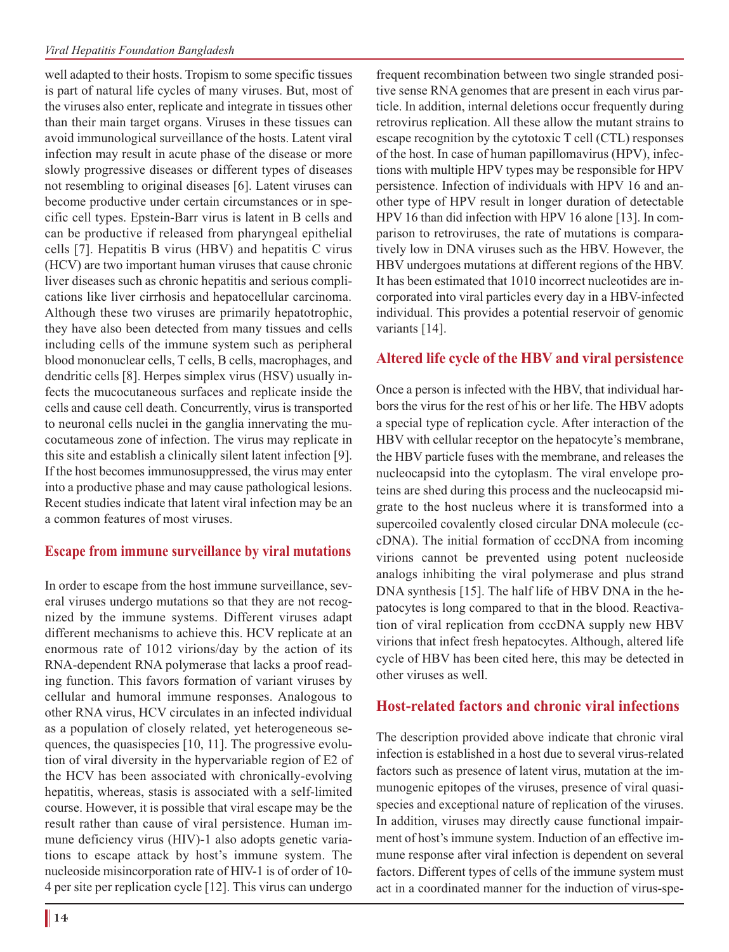well adapted to their hosts. Tropism to some specific tissues is part of natural life cycles of many viruses. But, most of the viruses also enter, replicate and integrate in tissues other than their main target organs. Viruses in these tissues can avoid immunological surveillance of the hosts. Latent viral infection may result in acute phase of the disease or more slowly progressive diseases or different types of diseases not resembling to original diseases [6]. Latent viruses can become productive under certain circumstances or in specific cell types. Epstein-Barr virus is latent in B cells and can be productive if released from pharyngeal epithelial cells [7]. Hepatitis B virus (HBV) and hepatitis C virus (HCV) are two important human viruses that cause chronic liver diseases such as chronic hepatitis and serious complications like liver cirrhosis and hepatocellular carcinoma. Although these two viruses are primarily hepatotrophic, they have also been detected from many tissues and cells including cells of the immune system such as peripheral blood mononuclear cells, T cells, B cells, macrophages, and dendritic cells [8]. Herpes simplex virus (HSV) usually infects the mucocutaneous surfaces and replicate inside the cells and cause cell death. Concurrently, virus is transported to neuronal cells nuclei in the ganglia innervating the mucocutameous zone of infection. The virus may replicate in this site and establish a clinically silent latent infection [9]. If the host becomes immunosuppressed, the virus may enter into a productive phase and may cause pathological lesions. Recent studies indicate that latent viral infection may be an a common features of most viruses.

# **Escape from immune surveillance by viral mutations**

In order to escape from the host immune surveillance, several viruses undergo mutations so that they are not recognized by the immune systems. Different viruses adapt different mechanisms to achieve this. HCV replicate at an enormous rate of 1012 virions/day by the action of its RNA-dependent RNA polymerase that lacks a proof reading function. This favors formation of variant viruses by cellular and humoral immune responses. Analogous to other RNA virus, HCV circulates in an infected individual as a population of closely related, yet heterogeneous sequences, the quasispecies [10, 11]. The progressive evolution of viral diversity in the hypervariable region of E2 of the HCV has been associated with chronically-evolving hepatitis, whereas, stasis is associated with a self-limited course. However, it is possible that viral escape may be the result rather than cause of viral persistence. Human immune deficiency virus (HIV)-1 also adopts genetic variations to escape attack by host's immune system. The nucleoside misincorporation rate of HIV-1 is of order of 10- 4 per site per replication cycle [12]. This virus can undergo

**14**

frequent recombination between two single stranded positive sense RNA genomes that are present in each virus particle. In addition, internal deletions occur frequently during retrovirus replication. All these allow the mutant strains to escape recognition by the cytotoxic T cell (CTL) responses of the host. In case of human papillomavirus (HPV), infections with multiple HPV types may be responsible for HPV persistence. Infection of individuals with HPV 16 and another type of HPV result in longer duration of detectable HPV 16 than did infection with HPV 16 alone [13]. In comparison to retroviruses, the rate of mutations is comparatively low in DNA viruses such as the HBV. However, the HBV undergoes mutations at different regions of the HBV. It has been estimated that 1010 incorrect nucleotides are incorporated into viral particles every day in a HBV-infected individual. This provides a potential reservoir of genomic variants [14].

## **Altered life cycle of the HBV and viral persistence**

Once a person is infected with the HBV, that individual harbors the virus for the rest of his or her life. The HBV adopts a special type of replication cycle. After interaction of the HBV with cellular receptor on the hepatocyte's membrane, the HBV particle fuses with the membrane, and releases the nucleocapsid into the cytoplasm. The viral envelope proteins are shed during this process and the nucleocapsid migrate to the host nucleus where it is transformed into a supercoiled covalently closed circular DNA molecule (cccDNA). The initial formation of cccDNA from incoming virions cannot be prevented using potent nucleoside analogs inhibiting the viral polymerase and plus strand DNA synthesis [15]. The half life of HBV DNA in the hepatocytes is long compared to that in the blood. Reactivation of viral replication from cccDNA supply new HBV virions that infect fresh hepatocytes. Although, altered life cycle of HBV has been cited here, this may be detected in other viruses as well.

## **Host-related factors and chronic viral infections**

The description provided above indicate that chronic viral infection is established in a host due to several virus-related factors such as presence of latent virus, mutation at the immunogenic epitopes of the viruses, presence of viral quasispecies and exceptional nature of replication of the viruses. In addition, viruses may directly cause functional impairment of host's immune system. Induction of an effective immune response after viral infection is dependent on several factors. Different types of cells of the immune system must act in a coordinated manner for the induction of virus-spe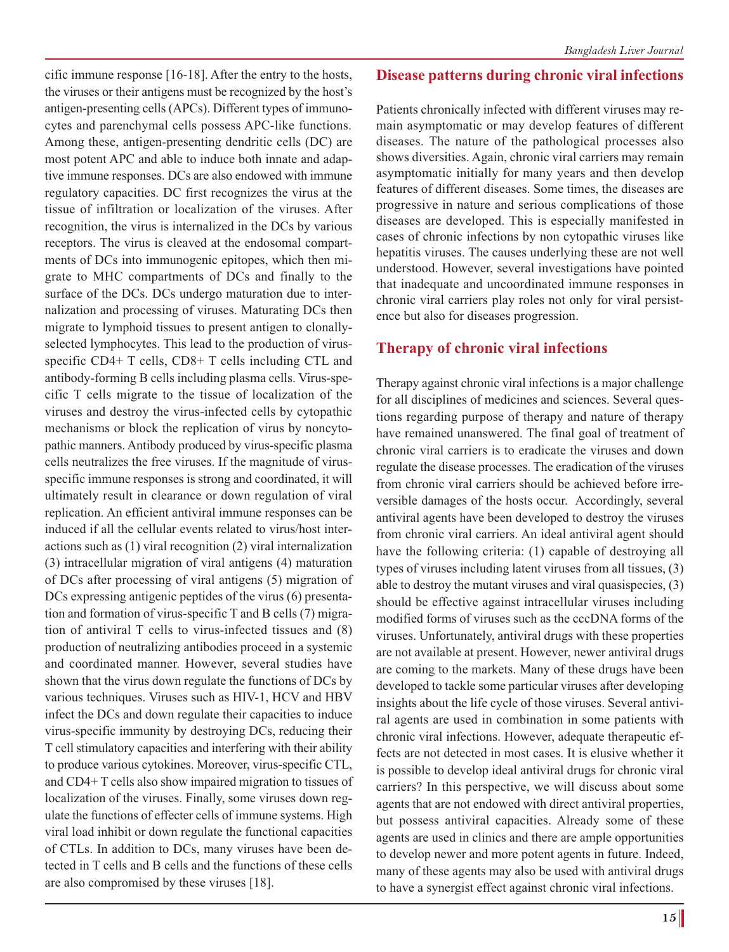cific immune response [16-18]. After the entry to the hosts, the viruses or their antigens must be recognized by the host's antigen-presenting cells (APCs). Different types of immunocytes and parenchymal cells possess APC-like functions. Among these, antigen-presenting dendritic cells (DC) are most potent APC and able to induce both innate and adaptive immune responses. DCs are also endowed with immune regulatory capacities. DC first recognizes the virus at the tissue of infiltration or localization of the viruses. After recognition, the virus is internalized in the DCs by various receptors. The virus is cleaved at the endosomal compartments of DCs into immunogenic epitopes, which then migrate to MHC compartments of DCs and finally to the surface of the DCs. DCs undergo maturation due to internalization and processing of viruses. Maturating DCs then migrate to lymphoid tissues to present antigen to clonallyselected lymphocytes. This lead to the production of virusspecific CD4+ T cells, CD8+ T cells including CTL and antibody-forming B cells including plasma cells. Virus-specific T cells migrate to the tissue of localization of the viruses and destroy the virus-infected cells by cytopathic mechanisms or block the replication of virus by noncytopathic manners. Antibody produced by virus-specific plasma cells neutralizes the free viruses. If the magnitude of virusspecific immune responses is strong and coordinated, it will ultimately result in clearance or down regulation of viral replication. An efficient antiviral immune responses can be induced if all the cellular events related to virus/host interactions such as (1) viral recognition (2) viral internalization (3) intracellular migration of viral antigens (4) maturation of DCs after processing of viral antigens (5) migration of DCs expressing antigenic peptides of the virus (6) presentation and formation of virus-specific T and B cells (7) migration of antiviral T cells to virus-infected tissues and (8) production of neutralizing antibodies proceed in a systemic and coordinated manner. However, several studies have shown that the virus down regulate the functions of DCs by various techniques. Viruses such as HIV-1, HCV and HBV infect the DCs and down regulate their capacities to induce virus-specific immunity by destroying DCs, reducing their T cell stimulatory capacities and interfering with their ability to produce various cytokines. Moreover, virus-specific CTL, and CD4+ T cells also show impaired migration to tissues of localization of the viruses. Finally, some viruses down regulate the functions of effecter cells of immune systems. High viral load inhibit or down regulate the functional capacities of CTLs. In addition to DCs, many viruses have been detected in T cells and B cells and the functions of these cells are also compromised by these viruses [18].

#### **Disease patterns during chronic viral infections**

Patients chronically infected with different viruses may remain asymptomatic or may develop features of different diseases. The nature of the pathological processes also shows diversities. Again, chronic viral carriers may remain asymptomatic initially for many years and then develop features of different diseases. Some times, the diseases are progressive in nature and serious complications of those diseases are developed. This is especially manifested in cases of chronic infections by non cytopathic viruses like hepatitis viruses. The causes underlying these are not well understood. However, several investigations have pointed that inadequate and uncoordinated immune responses in chronic viral carriers play roles not only for viral persistence but also for diseases progression.

### **Therapy of chronic viral infections**

Therapy against chronic viral infections is a major challenge for all disciplines of medicines and sciences. Several questions regarding purpose of therapy and nature of therapy have remained unanswered. The final goal of treatment of chronic viral carriers is to eradicate the viruses and down regulate the disease processes. The eradication of the viruses from chronic viral carriers should be achieved before irreversible damages of the hosts occur. Accordingly, several antiviral agents have been developed to destroy the viruses from chronic viral carriers. An ideal antiviral agent should have the following criteria: (1) capable of destroying all types of viruses including latent viruses from all tissues, (3) able to destroy the mutant viruses and viral quasispecies, (3) should be effective against intracellular viruses including modified forms of viruses such as the cccDNA forms of the viruses. Unfortunately, antiviral drugs with these properties are not available at present. However, newer antiviral drugs are coming to the markets. Many of these drugs have been developed to tackle some particular viruses after developing insights about the life cycle of those viruses. Several antiviral agents are used in combination in some patients with chronic viral infections. However, adequate therapeutic effects are not detected in most cases. It is elusive whether it is possible to develop ideal antiviral drugs for chronic viral carriers? In this perspective, we will discuss about some agents that are not endowed with direct antiviral properties, but possess antiviral capacities. Already some of these agents are used in clinics and there are ample opportunities to develop newer and more potent agents in future. Indeed, many of these agents may also be used with antiviral drugs to have a synergist effect against chronic viral infections.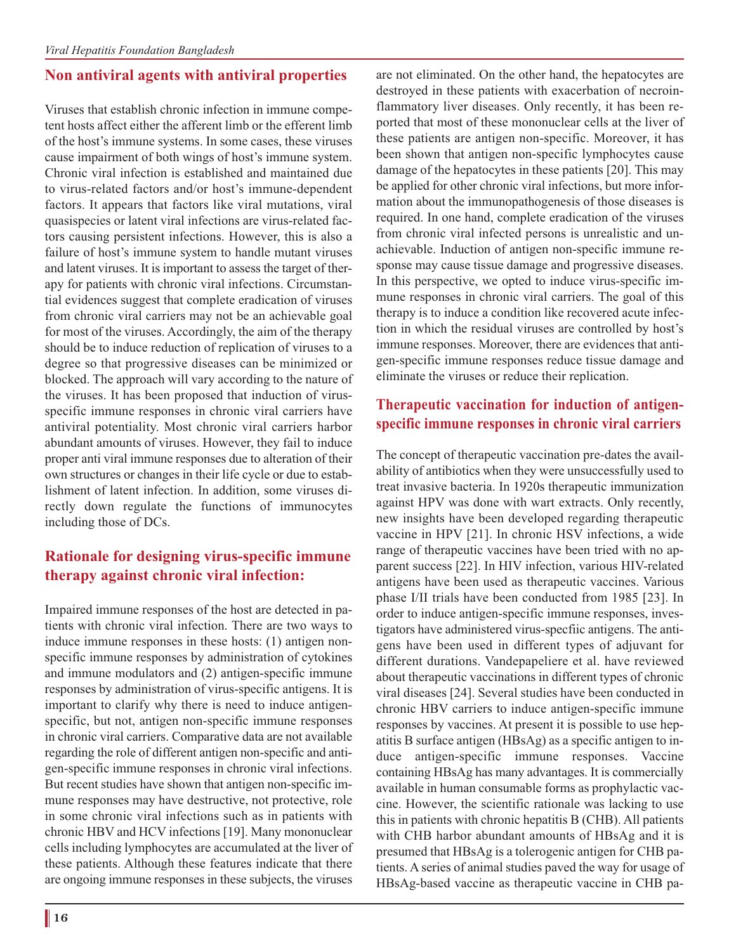# **Non antiviral agents with antiviral properties**

Viruses that establish chronic infection in immune competent hosts affect either the afferent limb or the efferent limb of the host's immune systems. In some cases, these viruses cause impairment of both wings of host's immune system. Chronic viral infection is established and maintained due to virus-related factors and/or host's immune-dependent factors. It appears that factors like viral mutations, viral quasispecies or latent viral infections are virus-related factors causing persistent infections. However, this is also a failure of host's immune system to handle mutant viruses and latent viruses. It is important to assess the target of therapy for patients with chronic viral infections. Circumstantial evidences suggest that complete eradication of viruses from chronic viral carriers may not be an achievable goal for most of the viruses. Accordingly, the aim of the therapy should be to induce reduction of replication of viruses to a degree so that progressive diseases can be minimized or blocked. The approach will vary according to the nature of the viruses. It has been proposed that induction of virusspecific immune responses in chronic viral carriers have antiviral potentiality. Most chronic viral carriers harbor abundant amounts of viruses. However, they fail to induce proper anti viral immune responses due to alteration of their own structures or changes in their life cycle or due to establishment of latent infection. In addition, some viruses directly down regulate the functions of immunocytes including those of DCs.

# **Rationale for designing virus-specific immune therapy against chronic viral infection:**

Impaired immune responses of the host are detected in patients with chronic viral infection. There are two ways to induce immune responses in these hosts: (1) antigen nonspecific immune responses by administration of cytokines and immune modulators and (2) antigen-specific immune responses by administration of virus-specific antigens. It is important to clarify why there is need to induce antigenspecific, but not, antigen non-specific immune responses in chronic viral carriers. Comparative data are not available regarding the role of different antigen non-specific and antigen-specific immune responses in chronic viral infections. But recent studies have shown that antigen non-specific immune responses may have destructive, not protective, role in some chronic viral infections such as in patients with chronic HBV and HCV infections [19]. Many mononuclear cells including lymphocytes are accumulated at the liver of these patients. Although these features indicate that there are ongoing immune responses in these subjects, the viruses

are not eliminated. On the other hand, the hepatocytes are destroyed in these patients with exacerbation of necroinflammatory liver diseases. Only recently, it has been reported that most of these mononuclear cells at the liver of these patients are antigen non-specific. Moreover, it has been shown that antigen non-specific lymphocytes cause damage of the hepatocytes in these patients [20]. This may be applied for other chronic viral infections, but more information about the immunopathogenesis of those diseases is required. In one hand, complete eradication of the viruses from chronic viral infected persons is unrealistic and unachievable. Induction of antigen non-specific immune response may cause tissue damage and progressive diseases. In this perspective, we opted to induce virus-specific immune responses in chronic viral carriers. The goal of this therapy is to induce a condition like recovered acute infection in which the residual viruses are controlled by host's immune responses. Moreover, there are evidences that antigen-specific immune responses reduce tissue damage and eliminate the viruses or reduce their replication.

# **Therapeutic vaccination for induction of antigenspecific immune responses in chronic viral carriers**

The concept of therapeutic vaccination pre-dates the availability of antibiotics when they were unsuccessfully used to treat invasive bacteria. In 1920s therapeutic immunization against HPV was done with wart extracts. Only recently, new insights have been developed regarding therapeutic vaccine in HPV [21]. In chronic HSV infections, a wide range of therapeutic vaccines have been tried with no apparent success [22]. In HIV infection, various HIV-related antigens have been used as therapeutic vaccines. Various phase I/II trials have been conducted from 1985 [23]. In order to induce antigen-specific immune responses, investigators have administered virus-specfiic antigens. The antigens have been used in different types of adjuvant for different durations. Vandepapeliere et al. have reviewed about therapeutic vaccinations in different types of chronic viral diseases [24]. Several studies have been conducted in chronic HBV carriers to induce antigen-specific immune responses by vaccines. At present it is possible to use hepatitis B surface antigen (HBsAg) as a specific antigen to induce antigen-specific immune responses. Vaccine containing HBsAg has many advantages. It is commercially available in human consumable forms as prophylactic vaccine. However, the scientific rationale was lacking to use this in patients with chronic hepatitis B (CHB). All patients with CHB harbor abundant amounts of HBsAg and it is presumed that HBsAg is a tolerogenic antigen for CHB patients. A series of animal studies paved the way for usage of HBsAg-based vaccine as therapeutic vaccine in CHB pa-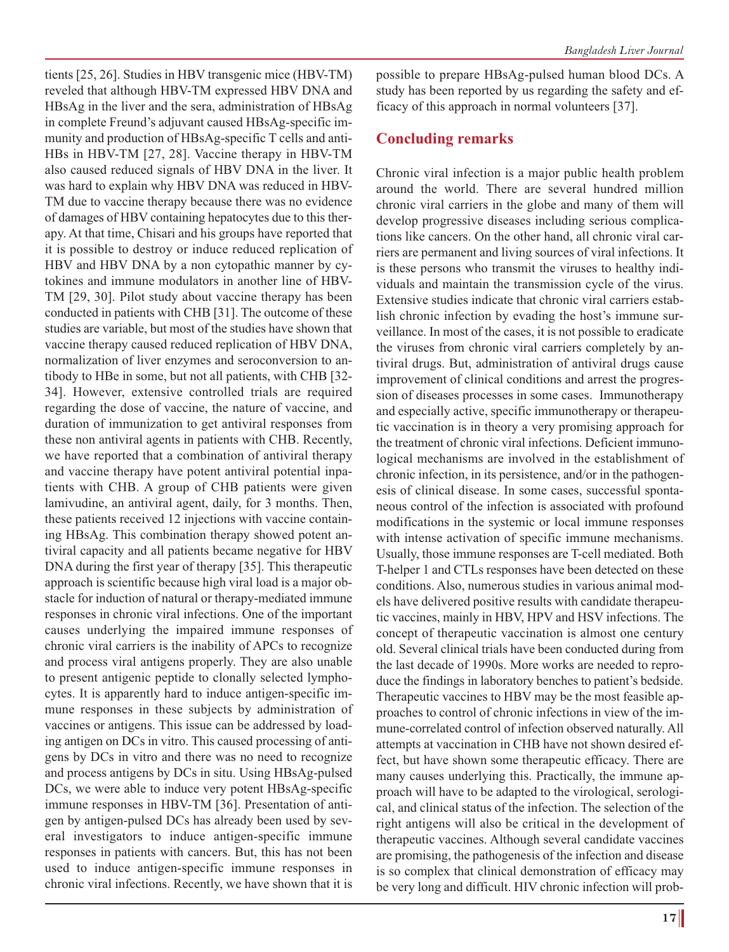tients [25, 26]. Studies in HBV transgenic mice (HBV-TM) reveled that although HBV-TM expressed HBV DNA and HBsAg in the liver and the sera, administration of HBsAg in complete Freund's adjuvant caused HBsAg-specific immunity and production of HBsAg-specific T cells and anti-HBs in HBV-TM [27, 28]. Vaccine therapy in HBV-TM also caused reduced signals of HBV DNA in the liver. It was hard to explain why HBV DNA was reduced in HBV-TM due to vaccine therapy because there was no evidence of damages of HBV containing hepatocytes due to this therapy. At that time, Chisari and his groups have reported that it is possible to destroy or induce reduced replication of HBV and HBV DNA by a non cytopathic manner by cytokines and immune modulators in another line of HBV-TM [29, 30]. Pilot study about vaccine therapy has been conducted in patients with CHB [31]. The outcome of these studies are variable, but most of the studies have shown that vaccine therapy caused reduced replication of HBV DNA, normalization of liver enzymes and seroconversion to antibody to HBe in some, but not all patients, with CHB [32- 34]. However, extensive controlled trials are required regarding the dose of vaccine, the nature of vaccine, and duration of immunization to get antiviral responses from these non antiviral agents in patients with CHB. Recently, we have reported that a combination of antiviral therapy and vaccine therapy have potent antiviral potential inpatients with CHB. A group of CHB patients were given lamivudine, an antiviral agent, daily, for 3 months. Then, these patients received 12 injections with vaccine containing HBsAg. This combination therapy showed potent antiviral capacity and all patients became negative for HBV DNA during the first year of therapy [35]. This therapeutic approach is scientific because high viral load is a major obstacle for induction of natural or therapy-mediated immune responses in chronic viral infections. One of the important causes underlying the impaired immune responses of chronic viral carriers is the inability of APCs to recognize and process viral antigens properly. They are also unable to present antigenic peptide to clonally selected lymphocytes. It is apparently hard to induce antigen-specific immune responses in these subjects by administration of vaccines or antigens. This issue can be addressed by loading antigen on DCs in vitro. This caused processing of antigens by DCs in vitro and there was no need to recognize and process antigens by DCs in situ. Using HBsAg-pulsed DCs, we were able to induce very potent HBsAg-specific immune responses in HBV-TM [36]. Presentation of antigen by antigen-pulsed DCs has already been used by several investigators to induce antigen-specific immune responses in patients with cancers. But, this has not been used to induce antigen-specific immune responses in chronic viral infections. Recently, we have shown that it is possible to prepare HBsAg-pulsed human blood DCs. A study has been reported by us regarding the safety and efficacy of this approach in normal volunteers [37].

### **Concluding remarks**

Chronic viral infection is a major public health problem around the world. There are several hundred million chronic viral carriers in the globe and many of them will develop progressive diseases including serious complications like cancers. On the other hand, all chronic viral carriers are permanent and living sources of viral infections. It is these persons who transmit the viruses to healthy individuals and maintain the transmission cycle of the virus. Extensive studies indicate that chronic viral carriers establish chronic infection by evading the host's immune surveillance. In most of the cases, it is not possible to eradicate the viruses from chronic viral carriers completely by antiviral drugs. But, administration of antiviral drugs cause improvement of clinical conditions and arrest the progression of diseases processes in some cases. Immunotherapy and especially active, specific immunotherapy or therapeutic vaccination is in theory a very promising approach for the treatment of chronic viral infections. Deficient immunological mechanisms are involved in the establishment of chronic infection, in its persistence, and/or in the pathogenesis of clinical disease. In some cases, successful spontaneous control of the infection is associated with profound modifications in the systemic or local immune responses with intense activation of specific immune mechanisms. Usually, those immune responses are T-cell mediated. Both T-helper 1 and CTLs responses have been detected on these conditions. Also, numerous studies in various animal models have delivered positive results with candidate therapeutic vaccines, mainly in HBV, HPV and HSV infections. The concept of therapeutic vaccination is almost one century old. Several clinical trials have been conducted during from the last decade of 1990s. More works are needed to reproduce the findings in laboratory benches to patient's bedside. Therapeutic vaccines to HBV may be the most feasible approaches to control of chronic infections in view of the immune-correlated control of infection observed naturally. All attempts at vaccination in CHB have not shown desired effect, but have shown some therapeutic efficacy. There are many causes underlying this. Practically, the immune approach will have to be adapted to the virological, serological, and clinical status of the infection. The selection of the right antigens will also be critical in the development of therapeutic vaccines. Although several candidate vaccines are promising, the pathogenesis of the infection and disease is so complex that clinical demonstration of efficacy may be very long and difficult. HIV chronic infection will prob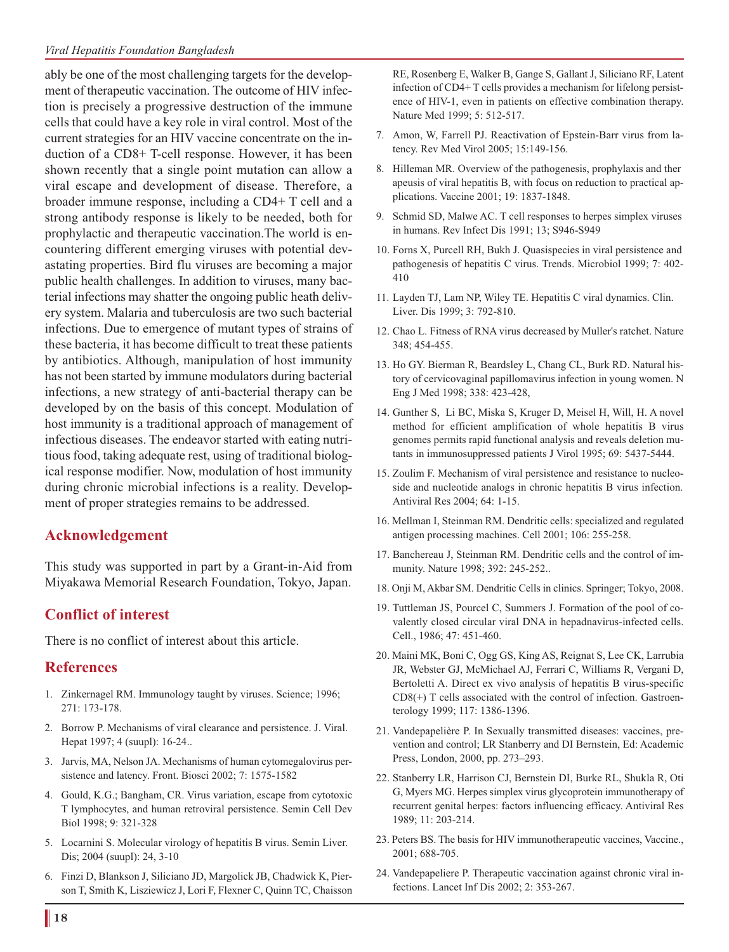ably be one of the most challenging targets for the development of therapeutic vaccination. The outcome of HIV infection is precisely a progressive destruction of the immune cells that could have a key role in viral control. Most of the current strategies for an HIV vaccine concentrate on the induction of a CD8+ T-cell response. However, it has been shown recently that a single point mutation can allow a viral escape and development of disease. Therefore, a broader immune response, including a CD4+ T cell and a strong antibody response is likely to be needed, both for prophylactic and therapeutic vaccination.The world is encountering different emerging viruses with potential devastating properties. Bird flu viruses are becoming a major public health challenges. In addition to viruses, many bacterial infections may shatter the ongoing public heath delivery system. Malaria and tuberculosis are two such bacterial infections. Due to emergence of mutant types of strains of these bacteria, it has become difficult to treat these patients by antibiotics. Although, manipulation of host immunity has not been started by immune modulators during bacterial infections, a new strategy of anti-bacterial therapy can be developed by on the basis of this concept. Modulation of host immunity is a traditional approach of management of infectious diseases. The endeavor started with eating nutritious food, taking adequate rest, using of traditional biological response modifier. Now, modulation of host immunity during chronic microbial infections is a reality. Development of proper strategies remains to be addressed.

# **Acknowledgement**

This study was supported in part by a Grant-in-Aid from Miyakawa Memorial Research Foundation, Tokyo, Japan.

# **Conflict of interest**

There is no conflict of interest about this article.

# **References**

- 1. Zinkernagel RM. Immunology taught by viruses. Science; 1996; 271: 173-178.
- 2. Borrow P. Mechanisms of viral clearance and persistence. J. Viral. Hepat 1997; 4 (suupl): 16-24..
- 3. Jarvis, MA, Nelson JA. Mechanisms of human cytomegalovirus persistence and latency. Front. Biosci 2002; 7: 1575-1582
- 4. Gould, K.G.; Bangham, CR. Virus variation, escape from cytotoxic T lymphocytes, and human retroviral persistence. Semin Cell Dev Biol 1998; 9: 321-328
- 5. Locarnini S. Molecular virology of hepatitis B virus. Semin Liver. Dis; 2004 (suupl): 24, 3-10
- 6. Finzi D, Blankson J, Siliciano JD, Margolick JB, Chadwick K, Pierson T, Smith K, Lisziewicz J, Lori F, Flexner C, Quinn TC, Chaisson

RE, Rosenberg E, Walker B, Gange S, Gallant J, Siliciano RF, Latent infection of CD4+ T cells provides a mechanism for lifelong persistence of HIV-1, even in patients on effective combination therapy. Nature Med 1999; 5: 512-517.

- 7. Amon, W, Farrell PJ. Reactivation of Epstein-Barr virus from latency. Rev Med Virol 2005; 15:149-156.
- 8. Hilleman MR. Overview of the pathogenesis, prophylaxis and ther apeusis of viral hepatitis B, with focus on reduction to practical applications. Vaccine 2001; 19: 1837-1848.
- 9. Schmid SD, Malwe AC. T cell responses to herpes simplex viruses in humans. Rev Infect Dis 1991; 13; S946-S949
- 10. Forns X, Purcell RH, Bukh J. Quasispecies in viral persistence and pathogenesis of hepatitis C virus. Trends. Microbiol 1999; 7: 402- 410
- 11. Layden TJ, Lam NP, Wiley TE. Hepatitis C viral dynamics. Clin. Liver. Dis 1999; 3: 792-810.
- 12. Chao L. Fitness of RNA virus decreased by Muller's ratchet. Nature 348; 454-455.
- 13. Ho GY. Bierman R, Beardsley L, Chang CL, Burk RD. Natural history of cervicovaginal papillomavirus infection in young women. N Eng J Med 1998; 338: 423-428,
- 14. Gunther S, Li BC, Miska S, Kruger D, Meisel H, Will, H. A novel method for efficient amplification of whole hepatitis B virus genomes permits rapid functional analysis and reveals deletion mutants in immunosuppressed patients J Virol 1995; 69: 5437-5444.
- 15. Zoulim F. Mechanism of viral persistence and resistance to nucleoside and nucleotide analogs in chronic hepatitis B virus infection. Antiviral Res 2004; 64: 1-15.
- 16. Mellman I, Steinman RM. Dendritic cells: specialized and regulated antigen processing machines. Cell 2001; 106: 255-258.
- 17. Banchereau J, Steinman RM. Dendritic cells and the control of immunity. Nature 1998; 392: 245-252..
- 18. Onji M, Akbar SM. Dendritic Cells in clinics. Springer; Tokyo, 2008.
- 19. Tuttleman JS, Pourcel C, Summers J. Formation of the pool of covalently closed circular viral DNA in hepadnavirus-infected cells. Cell., 1986; 47: 451-460.
- 20. Maini MK, Boni C, Ogg GS, King AS, Reignat S, Lee CK, Larrubia JR, Webster GJ, McMichael AJ, Ferrari C, Williams R, Vergani D, Bertoletti A. Direct ex vivo analysis of hepatitis B virus-specific CD8(+) T cells associated with the control of infection. Gastroenterology 1999; 117: 1386-1396.
- 21. Vandepapelière P. In Sexually transmitted diseases: vaccines, prevention and control; LR Stanberry and DI Bernstein, Ed: Academic Press, London, 2000, pp. 273–293.
- 22. Stanberry LR, Harrison CJ, Bernstein DI, Burke RL, Shukla R, Oti G, Myers MG. Herpes simplex virus glycoprotein immunotherapy of recurrent genital herpes: factors influencing efficacy. Antiviral Res 1989; 11: 203-214.
- 23. Peters BS. The basis for HIV immunotherapeutic vaccines, Vaccine., 2001; 688-705.
- 24. Vandepapeliere P. Therapeutic vaccination against chronic viral infections. Lancet Inf Dis 2002; 2: 353-267.